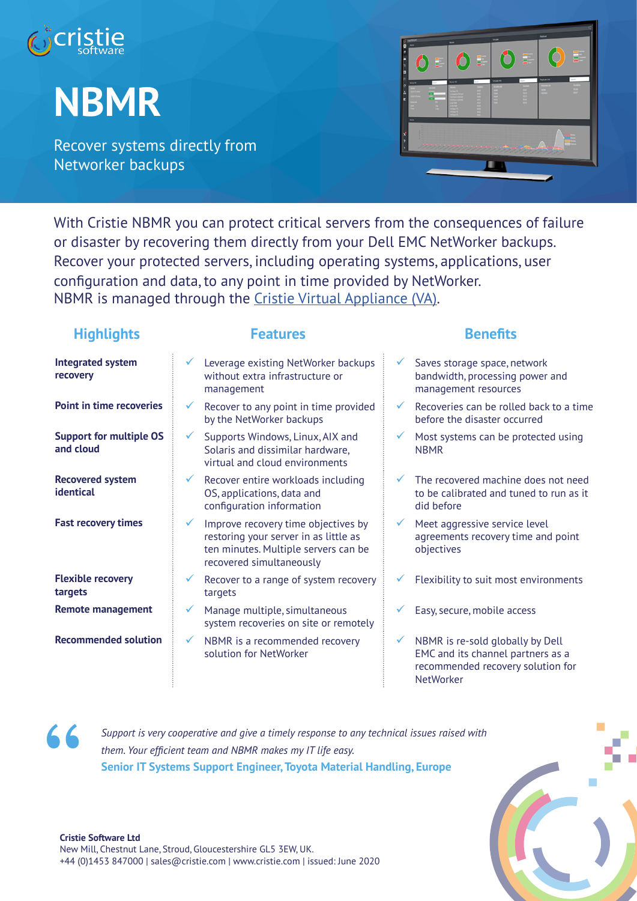

# **NBMR**

Recover systems directly from Networker backups



With Cristie NBMR you can protect critical servers from the consequences of failure or disaster by recovering them directly from your Dell EMC NetWorker backups. Recover your protected servers, including operating systems, applications, user configuration and data, to any point in time provided by NetWorker. NBMR is managed through the Cristie Virtual Appliance (VA).

# **Highlights Features Benefits**

| <b>Integrated system</b><br>recovery        | Leverage existing NetWorker backups<br>Saves storage space, network<br>$\checkmark$<br>without extra infrastructure or<br>bandwidth, processing power and<br>management resources<br>management                                                            |
|---------------------------------------------|------------------------------------------------------------------------------------------------------------------------------------------------------------------------------------------------------------------------------------------------------------|
| <b>Point in time recoveries</b>             | Recoveries can be rolled back to a time<br>Recover to any point in time provided<br>$\checkmark$<br>$\checkmark$<br>by the NetWorker backups<br>before the disaster occurred                                                                               |
| <b>Support for multiple OS</b><br>and cloud | Supports Windows, Linux, AIX and<br>Most systems can be protected using<br>✓<br>Solaris and dissimilar hardware,<br><b>NBMR</b><br>virtual and cloud environments                                                                                          |
| <b>Recovered system</b><br>identical        | Recover entire workloads including<br>The recovered machine does not need<br>$\checkmark$<br>OS, applications, data and<br>to be calibrated and tuned to run as it<br>configuration information<br>did before                                              |
| <b>Fast recovery times</b>                  | Improve recovery time objectives by<br>Meet aggressive service level<br>$\checkmark$<br>✓<br>restoring your server in as little as<br>agreements recovery time and point<br>ten minutes. Multiple servers can be<br>objectives<br>recovered simultaneously |
| <b>Flexible recovery</b><br>targets         | Flexibility to suit most environments<br>Recover to a range of system recovery<br>targets                                                                                                                                                                  |
| <b>Remote management</b>                    | Manage multiple, simultaneous<br>Easy, secure, mobile access<br>system recoveries on site or remotely                                                                                                                                                      |
| <b>Recommended solution</b>                 | NBMR is re-sold globally by Dell<br>NBMR is a recommended recovery<br>$\checkmark$<br>✓<br>EMC and its channel partners as a<br>solution for NetWorker<br>recommended recovery solution for                                                                |

NetWorker

**"**

*Support is very cooperative and give a timely response to any technical issues raised with them. Your efficient team and NBMR makes my IT life easy.* **Senior IT Systems Support Engineer, Toyota Material Handling, Europe**